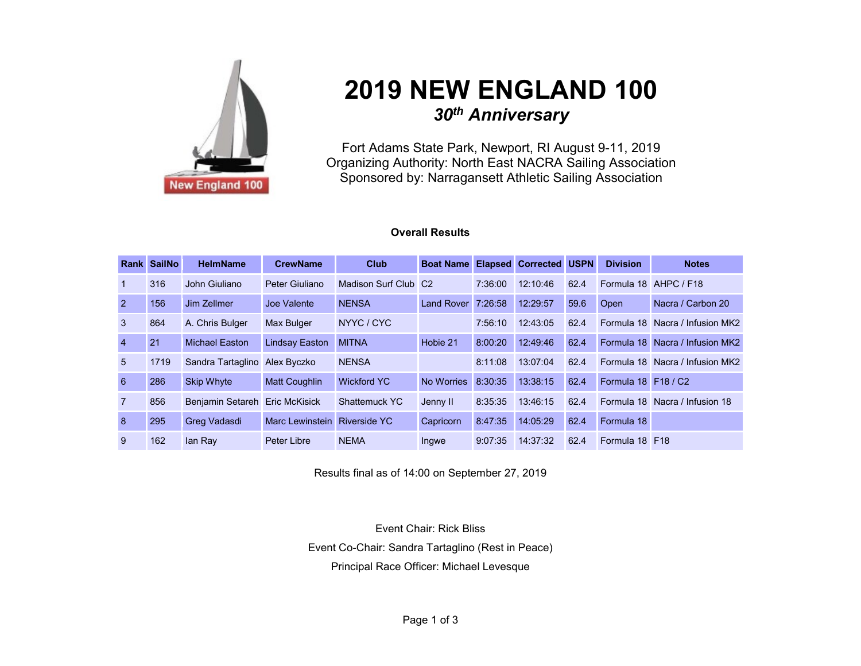

# **2019 NEW ENGLAND 100** *30th Anniversary*

Fort Adams State Park, Newport, RI August 9-11, 2019 Organizing Authority: North East NACRA Sailing Association Sponsored by: Narragansett Athletic Sailing Association

### **Overall Results**

|                 | <b>Rank SailNo</b> | <b>HelmName</b>                | <b>CrewName</b>       | <b>Club</b>          | <b>Boat Name Elapsed Corrected USPN</b> |         |          |      | <b>Division</b>            | <b>Notes</b>                    |
|-----------------|--------------------|--------------------------------|-----------------------|----------------------|-----------------------------------------|---------|----------|------|----------------------------|---------------------------------|
| $\mathbf{1}$    | 316                | John Giuliano                  | Peter Giuliano        | Madison Surf Club C2 |                                         | 7:36:00 | 12:10:46 | 62.4 |                            | Formula 18 AHPC / F18           |
| $\overline{2}$  | 156                | Jim Zellmer                    | Joe Valente           | <b>NENSA</b>         | Land Rover 7:26:58                      |         | 12:29:57 | 59.6 | Open                       | Nacra / Carbon 20               |
| $\mathbf{3}$    | 864                | A. Chris Bulger                | <b>Max Bulger</b>     | NYYC/CYC             |                                         | 7:56:10 | 12:43:05 | 62.4 | Formula 18                 | Nacra / Infusion MK2            |
| $\overline{4}$  | 21                 | <b>Michael Easton</b>          | <b>Lindsay Easton</b> | <b>MITNA</b>         | Hobie 21                                | 8:00:20 | 12:49:46 | 62.4 |                            | Formula 18 Nacra / Infusion MK2 |
| $5\overline{)}$ | 1719               | Sandra Tartaglino Alex Byczko  |                       | <b>NENSA</b>         |                                         | 8:11:08 | 13:07:04 | 62.4 |                            | Formula 18 Nacra / Infusion MK2 |
| 6               | 286                | <b>Skip Whyte</b>              | <b>Matt Coughlin</b>  | <b>Wickford YC</b>   | No Worries                              | 8:30:35 | 13:38:15 | 62.4 | <b>Formula 18 F18 / C2</b> |                                 |
| $\overline{7}$  | 856                | Benjamin Setareh Eric McKisick |                       | <b>Shattemuck YC</b> | Jenny II                                | 8:35:35 | 13:46:15 | 62.4 |                            | Formula 18 Nacra / Infusion 18  |
| 8               | 295                | Greg Vadasdi                   | Marc Lewinstein       | <b>Riverside YC</b>  | Capricorn                               | 8:47:35 | 14:05:29 | 62.4 | Formula 18                 |                                 |
| 9               | 162                | lan Rav                        | Peter Libre           | <b>NEMA</b>          | Ingwe                                   | 9:07:35 | 14:37:32 | 62.4 | Formula 18 F18             |                                 |

Results final as of 14:00 on September 27, 2019

Event Chair: Rick Bliss Event Co-Chair: Sandra Tartaglino (Rest in Peace) Principal Race Officer: Michael Levesque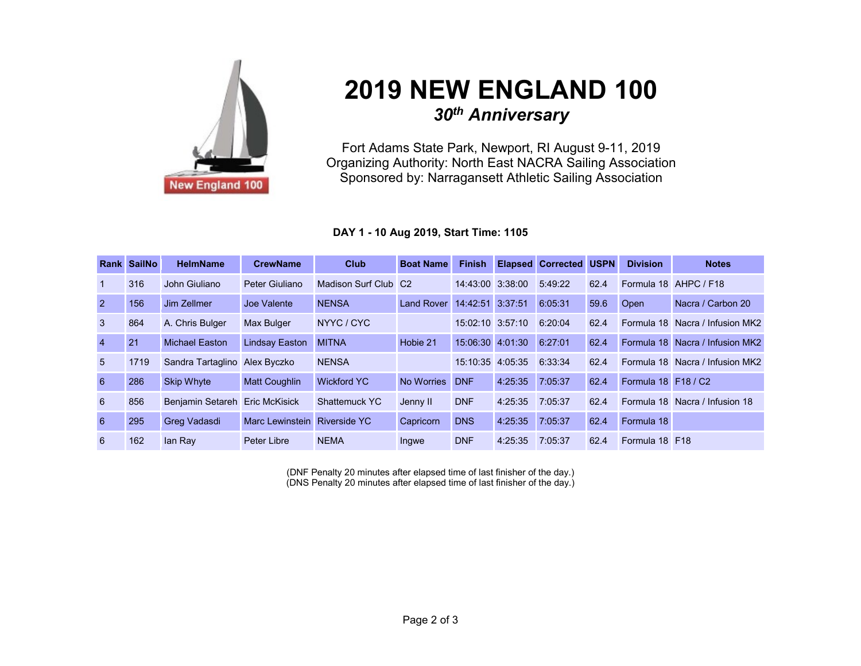

# **2019 NEW ENGLAND 100** *30th Anniversary*

Fort Adams State Park, Newport, RI August 9-11, 2019 Organizing Authority: North East NACRA Sailing Association Sponsored by: Narragansett Athletic Sailing Association

### **DAY 1 - 10 Aug 2019, Start Time: 1105**

|                 | <b>Rank SailNo</b> | <b>HelmName</b>         | <b>CrewName</b>              | <b>Club</b>          | <b>Boat Name</b> | <b>Finish</b>        |         | <b>Elapsed Corrected USPN</b> |      | <b>Division</b>     | <b>Notes</b>                    |
|-----------------|--------------------|-------------------------|------------------------------|----------------------|------------------|----------------------|---------|-------------------------------|------|---------------------|---------------------------------|
| $\overline{1}$  | 316                | John Giuliano           | Peter Giuliano               | Madison Surf Club C2 |                  | 14:43:00 3:38:00     |         | 5:49:22                       | 62.4 |                     | Formula 18 AHPC / F18           |
| $\overline{2}$  | 156                | Jim Zellmer             | Joe Valente                  | <b>NENSA</b>         | Land Rover       | 14:42:51 3:37:51     |         | 6:05:31                       | 59.6 | Open                | Nacra / Carbon 20               |
| $\mathbf{3}$    | 864                | A. Chris Bulger         | <b>Max Bulger</b>            | NYYC / CYC           |                  | $15:02:10$ $3:57:10$ |         | 6:20:04                       | 62.4 |                     | Formula 18 Nacra / Infusion MK2 |
| $\overline{4}$  | 21                 | <b>Michael Easton</b>   | <b>Lindsay Easton</b>        | <b>MITNA</b>         | Hobie 21         | 15:06:30 4:01:30     |         | 6:27:01                       | 62.4 |                     | Formula 18 Nacra / Infusion MK2 |
| 5               | 1719               | Sandra Tartaglino       | Alex Byczko                  | <b>NENSA</b>         |                  | 15:10:35 4:05:35     |         | 6:33:34                       | 62.4 |                     | Formula 18 Nacra / Infusion MK2 |
| 6               | 286                | <b>Skip Whyte</b>       | <b>Matt Coughlin</b>         | <b>Wickford YC</b>   | No Worries       | <b>DNF</b>           | 4:25:35 | 7:05:37                       | 62.4 | Formula 18 F18 / C2 |                                 |
| $6\overline{6}$ | 856                | <b>Benjamin Setareh</b> | <b>Eric McKisick</b>         | Shattemuck YC        | Jenny II         | <b>DNF</b>           | 4:25:35 | 7:05:37                       | 62.4 |                     | Formula 18 Nacra / Infusion 18  |
| 6               | 295                | Greg Vadasdi            | Marc Lewinstein Riverside YC |                      | Capricorn        | <b>DNS</b>           | 4:25:35 | 7:05:37                       | 62.4 | Formula 18          |                                 |
| 6               | 162                | lan Ray                 | Peter Libre                  | <b>NEMA</b>          | Ingwe            | <b>DNF</b>           | 4:25:35 | 7:05:37                       | 62.4 | Formula 18 F18      |                                 |

(DNF Penalty 20 minutes after elapsed time of last finisher of the day.) (DNS Penalty 20 minutes after elapsed time of last finisher of the day.)